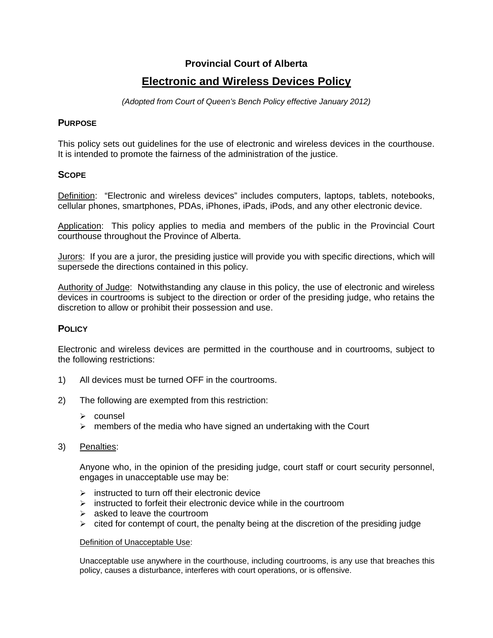## **Provincial Court of Alberta**

# **Electronic and Wireless Devices Policy**

*(Adopted from Court of Queen's Bench Policy effective January 2012)* 

#### **PURPOSE**

This policy sets out guidelines for the use of electronic and wireless devices in the courthouse. It is intended to promote the fairness of the administration of the justice.

#### **SCOPE**

Definition: "Electronic and wireless devices" includes computers, laptops, tablets, notebooks, cellular phones, smartphones, PDAs, iPhones, iPads, iPods, and any other electronic device.

Application: This policy applies to media and members of the public in the Provincial Court courthouse throughout the Province of Alberta.

Jurors: If you are a juror, the presiding justice will provide you with specific directions, which will supersede the directions contained in this policy.

Authority of Judge: Notwithstanding any clause in this policy, the use of electronic and wireless devices in courtrooms is subject to the direction or order of the presiding judge, who retains the discretion to allow or prohibit their possession and use.

### **POLICY**

Electronic and wireless devices are permitted in the courthouse and in courtrooms, subject to the following restrictions:

- 1) All devices must be turned OFF in the courtrooms.
- 2) The following are exempted from this restriction:
	- $\triangleright$  counsel
	- $\triangleright$  members of the media who have signed an undertaking with the Court
- 3) Penalties:

Anyone who, in the opinion of the presiding judge, court staff or court security personnel, engages in unacceptable use may be:

- $\triangleright$  instructed to turn off their electronic device
- $\triangleright$  instructed to forfeit their electronic device while in the courtroom
- $\triangleright$  asked to leave the courtroom
- $\triangleright$  cited for contempt of court, the penalty being at the discretion of the presiding judge

#### Definition of Unacceptable Use:

Unacceptable use anywhere in the courthouse, including courtrooms, is any use that breaches this policy, causes a disturbance, interferes with court operations, or is offensive.